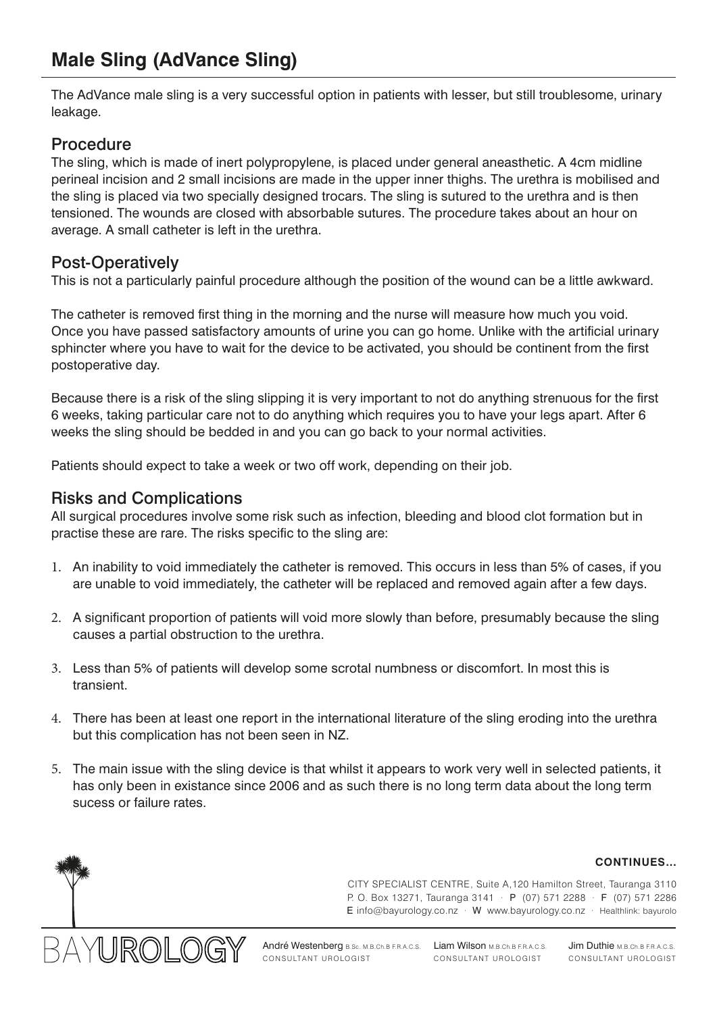# **Male Sling (AdVance Sling)**

The AdVance male sling is a very successful option in patients with lesser, but still troublesome, urinary leakage.

### Procedure

The sling, which is made of inert polypropylene, is placed under general aneasthetic. A 4cm midline perineal incision and 2 small incisions are made in the upper inner thighs. The urethra is mobilised and the sling is placed via two specially designed trocars. The sling is sutured to the urethra and is then tensioned. The wounds are closed with absorbable sutures. The procedure takes about an hour on average. A small catheter is left in the urethra.

### Post-Operatively

This is not a particularly painful procedure although the position of the wound can be a little awkward.

The catheter is removed first thing in the morning and the nurse will measure how much you void. Once you have passed satisfactory amounts of urine you can go home. Unlike with the artificial urinary sphincter where you have to wait for the device to be activated, you should be continent from the first postoperative day.

Because there is a risk of the sling slipping it is very important to not do anything strenuous for the first 6 weeks, taking particular care not to do anything which requires you to have your legs apart. After 6 weeks the sling should be bedded in and you can go back to your normal activities.

Patients should expect to take a week or two off work, depending on their job.

### Risks and Complications

All surgical procedures involve some risk such as infection, bleeding and blood clot formation but in practise these are rare. The risks specific to the sling are:

- 1. An inability to void immediately the catheter is removed. This occurs in less than 5% of cases, if you are unable to void immediately, the catheter will be replaced and removed again after a few days.
- 2. A significant proportion of patients will void more slowly than before, presumably because the sling causes a partial obstruction to the urethra.
- 3. Less than 5% of patients will develop some scrotal numbness or discomfort. In most this is transient.
- 4. There has been at least one report in the international literature of the sling eroding into the urethra but this complication has not been seen in NZ.
- 5. The main issue with the sling device is that whilst it appears to work very well in selected patients, it has only been in existance since 2006 and as such there is no long term data about the long term sucess or failure rates.

# 1 IROI

CITY SPECIALIST CENTRE, Suite A,120 Hamilton Street, Tauranga 3110 P. O. Box 13271, Tauranga 3141 · P (07) 571 2288 · F (07) 571 2286 E info@bayurology.co.nz · W www.bayurology.co.nz · Healthlink: bayurolo

**CONTINUES…**